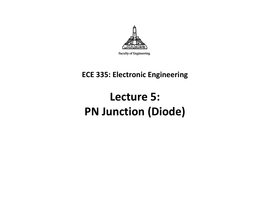

Faculty of Engineering

#### **ECE 335: Electronic Engineering**

# **Lecture 5: PN Junction (Diode)**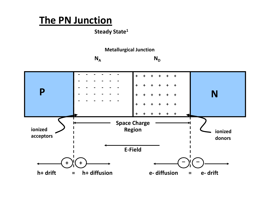### **The PN Junction**

**Steady State<sup>1</sup>**



 $N_A$  $N_{D}$ 

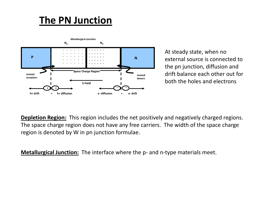### **The PN Junction**



At steady state, when no external source is connected to the pn junction, diffusion and drift balance each other out for both the holes and electrons

**Depletion Region:** This region includes the net positively and negatively charged regions. The space charge region does not have any free carriers. The width of the space charge region is denoted by W in pn junction formulae.

**Metallurgical Junction:** The interface where the p- and n-type materials meet.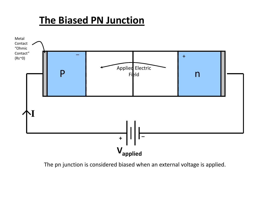### **The Biased PN Junction**



The pn junction is considered biased when an external voltage is applied.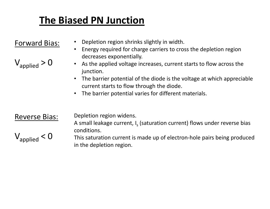## **The Biased PN Junction**

#### Forward Bias:

 $\mathsf{V}_{\mathsf{applied}}$  >  $\mathsf{O}$ 

- •Depletion region shrinks slightly in width.
- Energy required for charge carriers to cross the depletion region decreases exponentially.
- As the applied voltage increases, current starts to flow across the junction.
	- • The barrier potential of the diode is the voltage at which appreciable current starts to flow through the diode.
- $\bullet$ The barrier potential varies for different materials.

#### Reverse Bias:

 $\rm V_{applied}$   $<$   $\rm O$ 

Depletion region widens.

A small leakage current, I<sub>s</sub> (saturation current) flows under reverse bias conditions.

This saturation current is made up of electron-hole pairs being produced in the depletion region.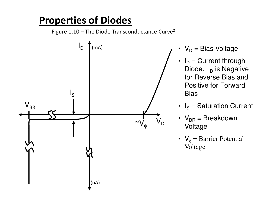### **Properties of Diodes**

Figure  $1.10$  – The Diode Transconductance Curve<sup>2</sup>



- $\bm{\mathsf{V}}_\text{D} = \bm{\mathsf{Bias}}$  Voltage
- $I_D$  = Current through Diode. I<sub>D</sub> is Negative<br>' for Reverse Bias and Positive for Forward Bias
- $I_S$  = Saturation Current
- $V_{\text{BR}}$  = Breakdown Voltage
- $V_{\phi}$  = Barrier Potential Voltage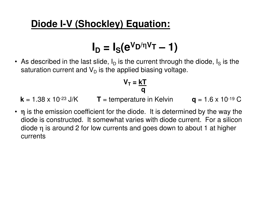**ID = I S(eVD/**η**VT – 1)**

• As described in the last slide,  $\mathsf{I}_\mathsf{D}$  $_{\sf D}$  is the current through the diode, I S $_\mathrm{S}$  is the saturation current and  $\mathsf{V}_\mathsf{D}$  $_{\mathsf{D}}$  is the applied biasing voltage.

$$
V_T = \frac{kT}{q}
$$

**k** = 1.38 x 10<sup>-23</sup> J/K

 $T =$  temperature in Kelvin  $q = 1.6 \times 10^{-19}$  C

- 
- η is the emission coefficient for the diode. It is determined by the way the interdiode is constructed. It somewhat varies with diode current. For a silicon diode  $\eta$  is around 2 for low currents and goes down to about 1 at higher currents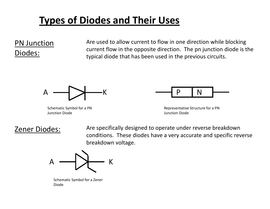### PN Junction Diodes:

Are used to allow current to flow in one direction while blocking current flow in the opposite direction. The pn junction diode is the typical diode that has been used in the previous circuits.



Schematic Symbol for a PN Junction Diode



Representative Structure for a PN Junction Diode

#### Zener Diodes:

 Are specifically designed to operate under reverse breakdown conditions. These diodes have a very accurate and specific reverse breakdown voltage.



Schematic Symbol for a Zener Diode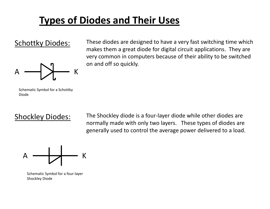#### Schottky Diodes:



 These diodes are designed to have a very fast switching time which makes them a great diode for digital circuit applications. They are very common in computers because of their ability to be switched on and off so quickly.

Schematic Symbol for a Schottky Diode

#### Shockley Diodes:

The Shockley diode is a four-layer diode while other diodes are normally made with only two layers. These types of diodes are generally used to control the average power delivered to a load.



Schematic Symbol for a four-layer Shockley Diode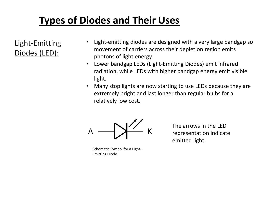Light-Emitting Diodes (LED):

- • Light-emitting diodes are designed with a very large bandgap so movement of carriers across their depletion region emits photons of light energy.
- Lower bandgap LEDs (Light-Emitting Diodes) emit infrared radiation, while LEDs with higher bandgap energy emit visible light.
- $\bullet$  Many stop lights are now starting to use LEDs because they are extremely bright and last longer than regular bulbs for a relatively low cost.



Schematic Symbol for a Light-Emitting Diode

The arrows in the LED representation indicate emitted light.